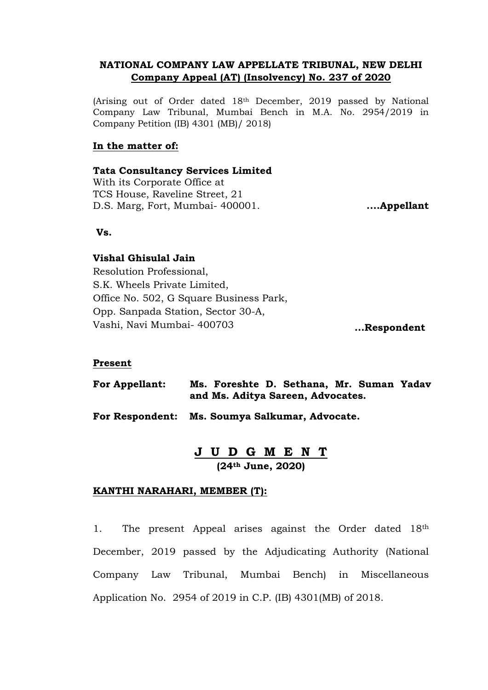# **NATIONAL COMPANY LAW APPELLATE TRIBUNAL, NEW DELHI Company Appeal (AT) (Insolvency) No. 237 of 2020**

(Arising out of Order dated 18th December, 2019 passed by National Company Law Tribunal, Mumbai Bench in M.A. No. 2954/2019 in Company Petition (IB) 4301 (MB)/ 2018)

## **In the matter of:**

## **Tata Consultancy Services Limited**

With its Corporate Office at TCS House, Raveline Street, 21 D.S. Marg, Fort, Mumbai- 400001. **....Appellant**

**Vs.**

## **Vishal Ghisulal Jain**

Resolution Professional, S.K. Wheels Private Limited, Office No. 502, G Square Business Park, Opp. Sanpada Station, Sector 30-A, Vashi, Navi Mumbai- 400703 **...Respondent**

### **Present**

**For Appellant: Ms. Foreshte D. Sethana, Mr. Suman Yadav and Ms. Aditya Sareen, Advocates.**

**For Respondent: Ms. Soumya Salkumar, Advocate.**

# **J U D G M E N T (24th June, 2020)**

### **KANTHI NARAHARI, MEMBER (T):**

1. The present Appeal arises against the Order dated 18th December, 2019 passed by the Adjudicating Authority (National Company Law Tribunal, Mumbai Bench) in Miscellaneous Application No. 2954 of 2019 in C.P. (IB) 4301(MB) of 2018.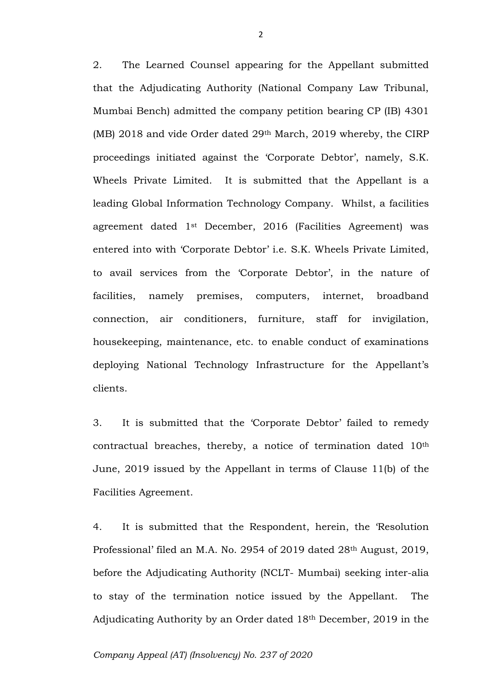2. The Learned Counsel appearing for the Appellant submitted that the Adjudicating Authority (National Company Law Tribunal, Mumbai Bench) admitted the company petition bearing CP (IB) 4301 (MB) 2018 and vide Order dated 29th March, 2019 whereby, the CIRP proceedings initiated against the 'Corporate Debtor', namely, S.K. Wheels Private Limited. It is submitted that the Appellant is a leading Global Information Technology Company. Whilst, a facilities agreement dated 1st December, 2016 (Facilities Agreement) was entered into with 'Corporate Debtor' i.e. S.K. Wheels Private Limited, to avail services from the 'Corporate Debtor', in the nature of facilities, namely premises, computers, internet, broadband connection, air conditioners, furniture, staff for invigilation, housekeeping, maintenance, etc. to enable conduct of examinations deploying National Technology Infrastructure for the Appellant's clients.

3. It is submitted that the 'Corporate Debtor' failed to remedy contractual breaches, thereby, a notice of termination dated 10th June, 2019 issued by the Appellant in terms of Clause 11(b) of the Facilities Agreement.

4. It is submitted that the Respondent, herein, the 'Resolution Professional' filed an M.A. No. 2954 of 2019 dated 28th August, 2019, before the Adjudicating Authority (NCLT- Mumbai) seeking inter-alia to stay of the termination notice issued by the Appellant. The Adjudicating Authority by an Order dated 18th December, 2019 in the

#### *Company Appeal (AT) (Insolvency) No. 237 of 2020*

2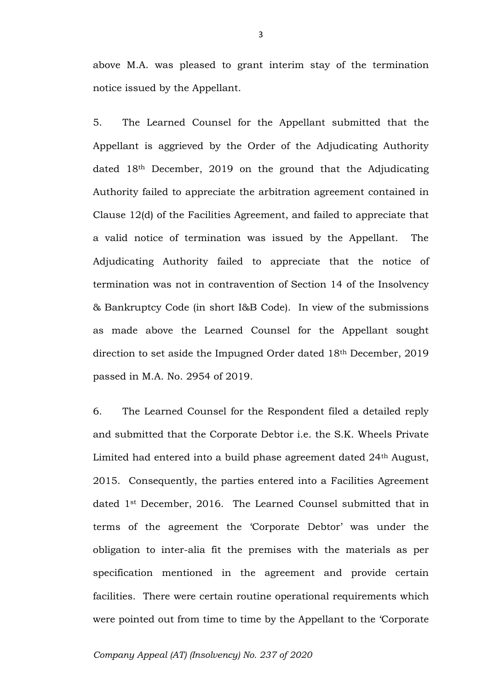above M.A. was pleased to grant interim stay of the termination notice issued by the Appellant.

5. The Learned Counsel for the Appellant submitted that the Appellant is aggrieved by the Order of the Adjudicating Authority dated 18th December, 2019 on the ground that the Adjudicating Authority failed to appreciate the arbitration agreement contained in Clause 12(d) of the Facilities Agreement, and failed to appreciate that a valid notice of termination was issued by the Appellant. The Adjudicating Authority failed to appreciate that the notice of termination was not in contravention of Section 14 of the Insolvency & Bankruptcy Code (in short I&B Code). In view of the submissions as made above the Learned Counsel for the Appellant sought direction to set aside the Impugned Order dated 18th December, 2019 passed in M.A. No. 2954 of 2019.

6. The Learned Counsel for the Respondent filed a detailed reply and submitted that the Corporate Debtor i.e. the S.K. Wheels Private Limited had entered into a build phase agreement dated 24th August, 2015. Consequently, the parties entered into a Facilities Agreement dated 1st December, 2016. The Learned Counsel submitted that in terms of the agreement the 'Corporate Debtor' was under the obligation to inter-alia fit the premises with the materials as per specification mentioned in the agreement and provide certain facilities. There were certain routine operational requirements which were pointed out from time to time by the Appellant to the 'Corporate

#### *Company Appeal (AT) (Insolvency) No. 237 of 2020*

3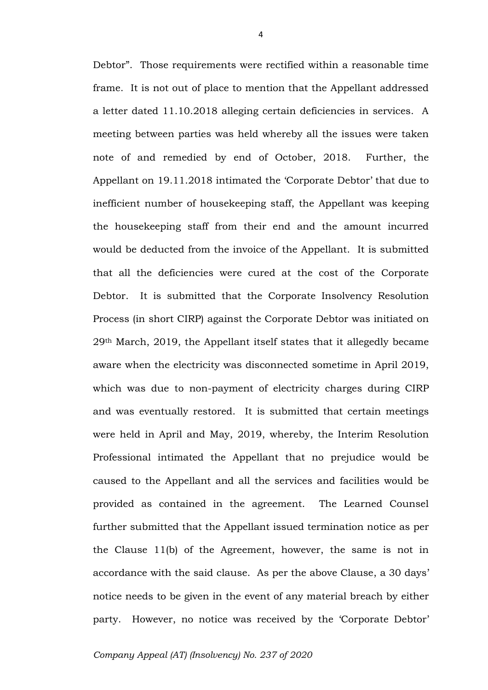Debtor". Those requirements were rectified within a reasonable time frame. It is not out of place to mention that the Appellant addressed a letter dated 11.10.2018 alleging certain deficiencies in services. A meeting between parties was held whereby all the issues were taken note of and remedied by end of October, 2018. Further, the Appellant on 19.11.2018 intimated the 'Corporate Debtor' that due to inefficient number of housekeeping staff, the Appellant was keeping the housekeeping staff from their end and the amount incurred would be deducted from the invoice of the Appellant. It is submitted that all the deficiencies were cured at the cost of the Corporate Debtor. It is submitted that the Corporate Insolvency Resolution Process (in short CIRP) against the Corporate Debtor was initiated on 29th March, 2019, the Appellant itself states that it allegedly became aware when the electricity was disconnected sometime in April 2019, which was due to non-payment of electricity charges during CIRP and was eventually restored. It is submitted that certain meetings were held in April and May, 2019, whereby, the Interim Resolution Professional intimated the Appellant that no prejudice would be caused to the Appellant and all the services and facilities would be provided as contained in the agreement. The Learned Counsel further submitted that the Appellant issued termination notice as per the Clause 11(b) of the Agreement, however, the same is not in accordance with the said clause. As per the above Clause, a 30 days' notice needs to be given in the event of any material breach by either party. However, no notice was received by the 'Corporate Debtor'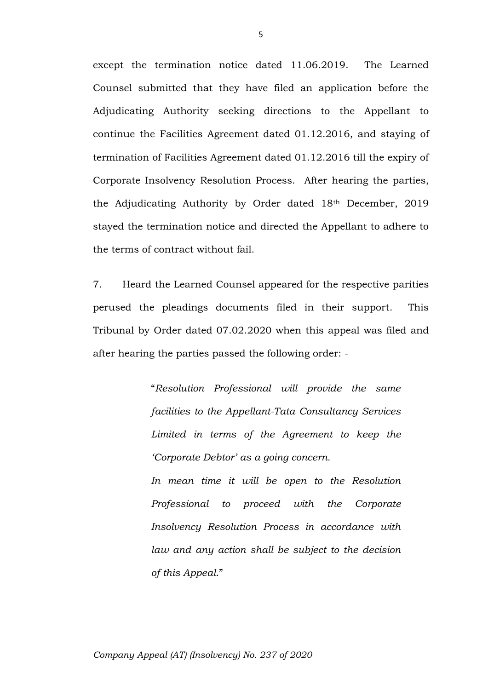except the termination notice dated 11.06.2019. The Learned Counsel submitted that they have filed an application before the Adjudicating Authority seeking directions to the Appellant to continue the Facilities Agreement dated 01.12.2016, and staying of termination of Facilities Agreement dated 01.12.2016 till the expiry of Corporate Insolvency Resolution Process. After hearing the parties, the Adjudicating Authority by Order dated 18th December, 2019 stayed the termination notice and directed the Appellant to adhere to the terms of contract without fail.

7. Heard the Learned Counsel appeared for the respective parities perused the pleadings documents filed in their support. This Tribunal by Order dated 07.02.2020 when this appeal was filed and after hearing the parties passed the following order: -

> "*Resolution Professional will provide the same facilities to the Appellant-Tata Consultancy Services Limited in terms of the Agreement to keep the 'Corporate Debtor' as a going concern.*

> *In mean time it will be open to the Resolution Professional to proceed with the Corporate Insolvency Resolution Process in accordance with law and any action shall be subject to the decision of this Appeal*."

5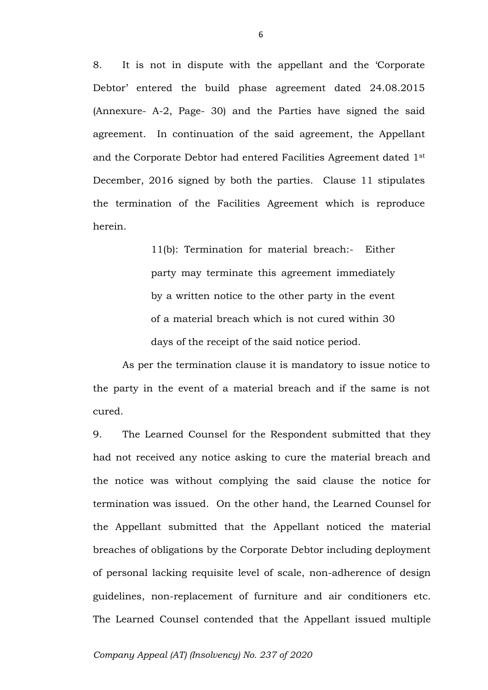8. It is not in dispute with the appellant and the 'Corporate Debtor' entered the build phase agreement dated 24.08.2015 (Annexure- A-2, Page- 30) and the Parties have signed the said agreement. In continuation of the said agreement, the Appellant and the Corporate Debtor had entered Facilities Agreement dated 1st December, 2016 signed by both the parties. Clause 11 stipulates the termination of the Facilities Agreement which is reproduce herein.

> 11(b): Termination for material breach:- Either party may terminate this agreement immediately by a written notice to the other party in the event of a material breach which is not cured within 30 days of the receipt of the said notice period.

As per the termination clause it is mandatory to issue notice to the party in the event of a material breach and if the same is not cured.

9. The Learned Counsel for the Respondent submitted that they had not received any notice asking to cure the material breach and the notice was without complying the said clause the notice for termination was issued. On the other hand, the Learned Counsel for the Appellant submitted that the Appellant noticed the material breaches of obligations by the Corporate Debtor including deployment of personal lacking requisite level of scale, non-adherence of design guidelines, non-replacement of furniture and air conditioners etc. The Learned Counsel contended that the Appellant issued multiple

#### *Company Appeal (AT) (Insolvency) No. 237 of 2020*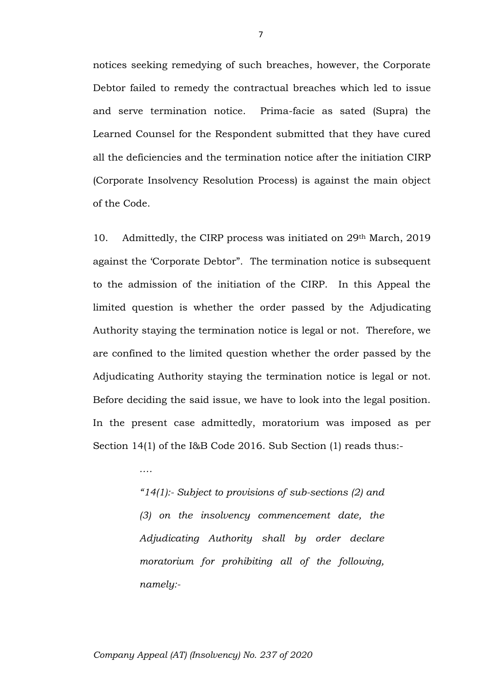notices seeking remedying of such breaches, however, the Corporate Debtor failed to remedy the contractual breaches which led to issue and serve termination notice. Prima-facie as sated (Supra) the Learned Counsel for the Respondent submitted that they have cured all the deficiencies and the termination notice after the initiation CIRP (Corporate Insolvency Resolution Process) is against the main object of the Code.

10. Admittedly, the CIRP process was initiated on 29th March, 2019 against the 'Corporate Debtor". The termination notice is subsequent to the admission of the initiation of the CIRP. In this Appeal the limited question is whether the order passed by the Adjudicating Authority staying the termination notice is legal or not. Therefore, we are confined to the limited question whether the order passed by the Adjudicating Authority staying the termination notice is legal or not. Before deciding the said issue, we have to look into the legal position. In the present case admittedly, moratorium was imposed as per Section 14(1) of the I&B Code 2016. Sub Section (1) reads thus:-

> *"14(1):- Subject to provisions of sub-sections (2) and (3) on the insolvency commencement date, the Adjudicating Authority shall by order declare moratorium for prohibiting all of the following, namely:-*

#### *Company Appeal (AT) (Insolvency) No. 237 of 2020*

*….*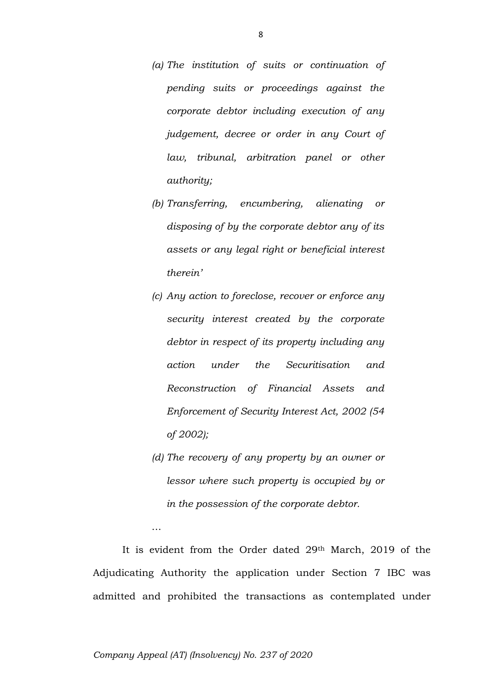- *(a) The institution of suits or continuation of pending suits or proceedings against the corporate debtor including execution of any judgement, decree or order in any Court of law, tribunal, arbitration panel or other authority;*
- *(b) Transferring, encumbering, alienating or disposing of by the corporate debtor any of its assets or any legal right or beneficial interest therein'*
- *(c) Any action to foreclose, recover or enforce any security interest created by the corporate debtor in respect of its property including any action under the Securitisation and Reconstruction of Financial Assets and Enforcement of Security Interest Act, 2002 (54 of 2002);*
- *(d) The recovery of any property by an owner or lessor where such property is occupied by or in the possession of the corporate debtor.*

It is evident from the Order dated 29th March, 2019 of the Adjudicating Authority the application under Section 7 IBC was admitted and prohibited the transactions as contemplated under

#### *Company Appeal (AT) (Insolvency) No. 237 of 2020*

…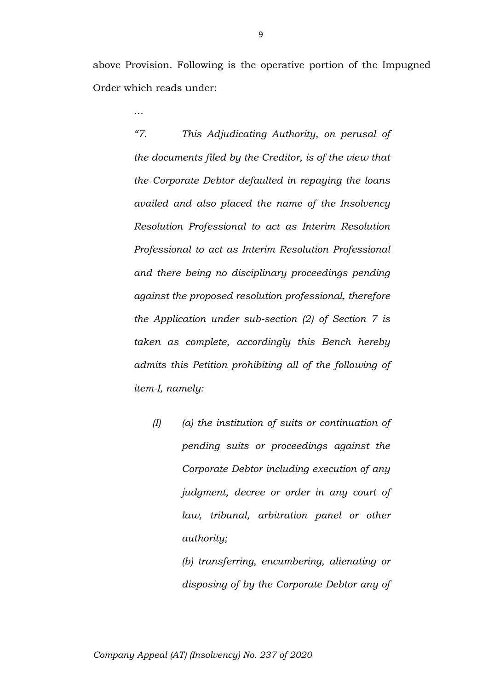above Provision. Following is the operative portion of the Impugned Order which reads under:

*…*

*"7. This Adjudicating Authority, on perusal of the documents filed by the Creditor, is of the view that the Corporate Debtor defaulted in repaying the loans availed and also placed the name of the Insolvency Resolution Professional to act as Interim Resolution Professional to act as Interim Resolution Professional and there being no disciplinary proceedings pending against the proposed resolution professional, therefore the Application under sub-section (2) of Section 7 is taken as complete, accordingly this Bench hereby admits this Petition prohibiting all of the following of item-I, namely:*

*(I) (a) the institution of suits or continuation of pending suits or proceedings against the Corporate Debtor including execution of any judgment, decree or order in any court of law, tribunal, arbitration panel or other authority;*

> *(b) transferring, encumbering, alienating or disposing of by the Corporate Debtor any of*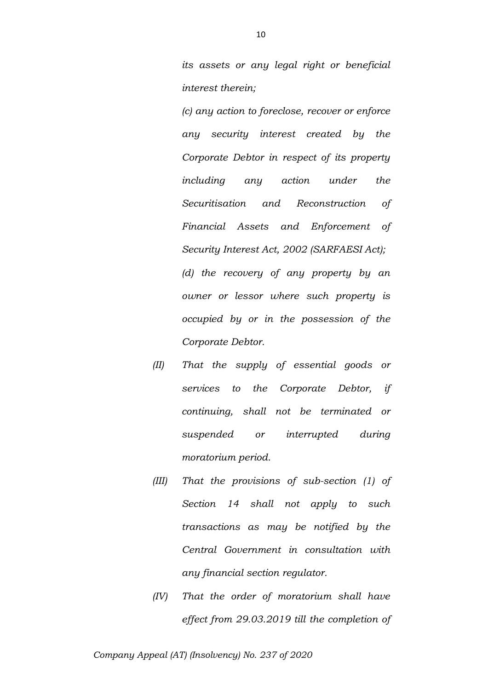*its assets or any legal right or beneficial interest therein;*

*(c) any action to foreclose, recover or enforce any security interest created by the Corporate Debtor in respect of its property including any action under the Securitisation and Reconstruction of Financial Assets and Enforcement of Security Interest Act, 2002 (SARFAESI Act); (d) the recovery of any property by an owner or lessor where such property is occupied by or in the possession of the Corporate Debtor.*

- *(II) That the supply of essential goods or services to the Corporate Debtor, if continuing, shall not be terminated or suspended or interrupted during moratorium period.*
- *(III) That the provisions of sub-section (1) of Section 14 shall not apply to such transactions as may be notified by the Central Government in consultation with any financial section regulator.*
- *(IV) That the order of moratorium shall have effect from 29.03.2019 till the completion of*

*Company Appeal (AT) (Insolvency) No. 237 of 2020*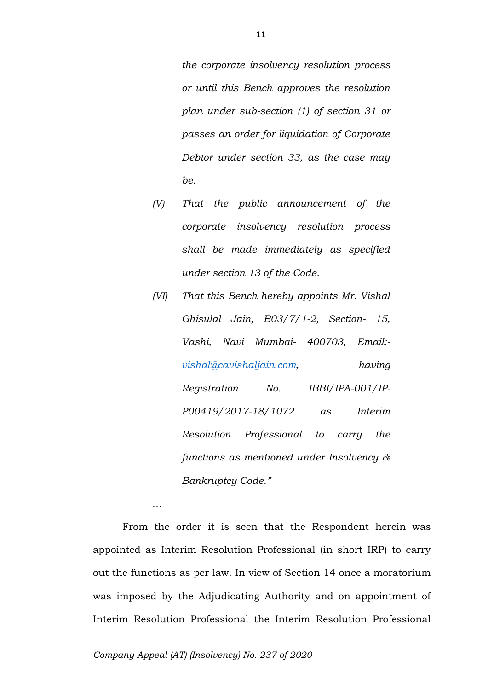*the corporate insolvency resolution process or until this Bench approves the resolution plan under sub-section (1) of section 31 or passes an order for liquidation of Corporate Debtor under section 33, as the case may be.*

- *(V) That the public announcement of the corporate insolvency resolution process shall be made immediately as specified under section 13 of the Code.*
- *(VI) That this Bench hereby appoints Mr. Vishal Ghisulal Jain, B03/7/1-2, Section- 15, Vashi, Navi Mumbai- 400703, Email: [vishal@cavishaljain.com,](mailto:vishal@cavishaljain.com) having Registration No. IBBI/IPA-001/IP-P00419/2017-18/1072 as Interim Resolution Professional to carry the functions as mentioned under Insolvency & Bankruptcy Code."*

From the order it is seen that the Respondent herein was appointed as Interim Resolution Professional (in short IRP) to carry out the functions as per law. In view of Section 14 once a moratorium was imposed by the Adjudicating Authority and on appointment of Interim Resolution Professional the Interim Resolution Professional

*…*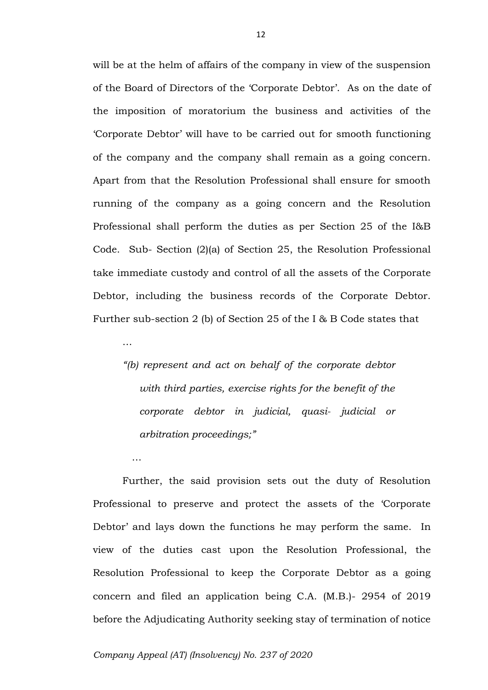will be at the helm of affairs of the company in view of the suspension of the Board of Directors of the 'Corporate Debtor'. As on the date of the imposition of moratorium the business and activities of the 'Corporate Debtor' will have to be carried out for smooth functioning of the company and the company shall remain as a going concern. Apart from that the Resolution Professional shall ensure for smooth running of the company as a going concern and the Resolution Professional shall perform the duties as per Section 25 of the I&B Code. Sub- Section (2)(a) of Section 25, the Resolution Professional take immediate custody and control of all the assets of the Corporate Debtor, including the business records of the Corporate Debtor. Further sub-section 2 (b) of Section 25 of the I & B Code states that

*"(b) represent and act on behalf of the corporate debtor with third parties, exercise rights for the benefit of the corporate debtor in judicial, quasi- judicial or arbitration proceedings;"*

Further, the said provision sets out the duty of Resolution Professional to preserve and protect the assets of the 'Corporate Debtor' and lays down the functions he may perform the same. In view of the duties cast upon the Resolution Professional, the Resolution Professional to keep the Corporate Debtor as a going concern and filed an application being C.A. (M.B.)- 2954 of 2019 before the Adjudicating Authority seeking stay of termination of notice

…

…